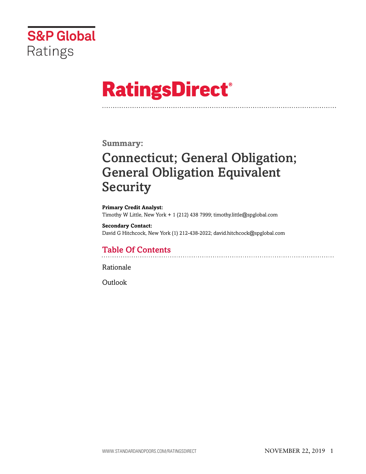

# **RatingsDirect®**

### **Summary:**

# Connecticut; General Obligation; General Obligation Equivalent Security

**Primary Credit Analyst:** Timothy W Little, New York + 1 (212) 438 7999; timothy.little@spglobal.com

**Secondary Contact:** David G Hitchcock, New York (1) 212-438-2022; david.hitchcock@spglobal.com

### Table Of Contents

[Rationale](#page-1-0)

[Outlook](#page-3-0)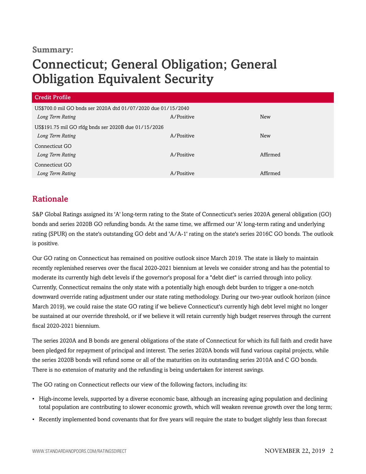### **Summary:**

## Connecticut; General Obligation; General Obligation Equivalent Security

| Credit Profile                                                |            |            |  |
|---------------------------------------------------------------|------------|------------|--|
| US\$700.0 mil GO bnds ser 2020A dtd 01/07/2020 due 01/15/2040 |            |            |  |
| Long Term Rating                                              | A/Positive | <b>New</b> |  |
| US\$191.75 mil GO rfdg bnds ser 2020B due 01/15/2026          |            |            |  |
| Long Term Rating                                              | A/Positive | New        |  |
| Connecticut GO                                                |            |            |  |
| Long Term Rating                                              | A/Positive | Affirmed   |  |
| Connecticut GO                                                |            |            |  |
| Long Term Rating                                              | A/Positive | Affirmed   |  |

### <span id="page-1-0"></span>Rationale

S&P Global Ratings assigned its 'A' long-term rating to the State of Connecticut's series 2020A general obligation (GO) bonds and series 2020B GO refunding bonds. At the same time, we affirmed our 'A' long-term rating and underlying rating (SPUR) on the state's outstanding GO debt and 'A/A-1' rating on the state's series 2016C GO bonds. The outlook is positive.

Our GO rating on Connecticut has remained on positive outlook since March 2019. The state is likely to maintain recently replenished reserves over the fiscal 2020-2021 biennium at levels we consider strong and has the potential to moderate its currently high debt levels if the governor's proposal for a "debt diet" is carried through into policy. Currently, Connecticut remains the only state with a potentially high enough debt burden to trigger a one-notch downward override rating adjustment under our state rating methodology. During our two-year outlook horizon (since March 2019), we could raise the state GO rating if we believe Connecticut's currently high debt level might no longer be sustained at our override threshold, or if we believe it will retain currently high budget reserves through the current fiscal 2020-2021 biennium.

The series 2020A and B bonds are general obligations of the state of Connecticut for which its full faith and credit have been pledged for repayment of principal and interest. The series 2020A bonds will fund various capital projects, while the series 2020B bonds will refund some or all of the maturities on its outstanding series 2010A and C GO bonds. There is no extension of maturity and the refunding is being undertaken for interest savings.

The GO rating on Connecticut reflects our view of the following factors, including its:

- High-income levels, supported by a diverse economic base, although an increasing aging population and declining total population are contributing to slower economic growth, which will weaken revenue growth over the long term;
- Recently implemented bond covenants that for five years will require the state to budget slightly less than forecast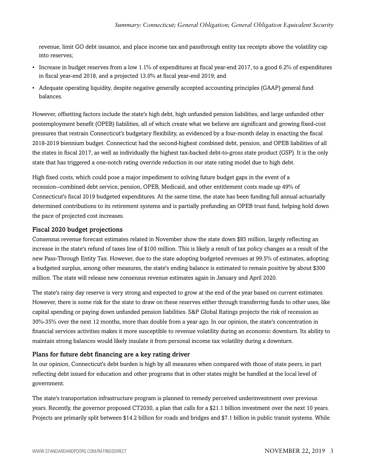revenue, limit GO debt issuance, and place income tax and passthrough entity tax receipts above the volatility cap into reserves;

- Increase in budget reserves from a low 1.1% of expenditures at fiscal year-end 2017, to a good 6.2% of expenditures in fiscal year-end 2018, and a projected 13.0% at fiscal year-end 2019; and
- Adequate operating liquidity, despite negative generally accepted accounting principles (GAAP) general fund balances.

However, offsetting factors include the state's high debt, high unfunded pension liabilities, and large unfunded other postemployment benefit (OPEB) liabilities, all of which create what we believe are significant and growing fixed-cost pressures that restrain Connecticut's budgetary flexibility, as evidenced by a four-month delay in enacting the fiscal 2018-2019 biennium budget. Connecticut had the second-highest combined debt, pension, and OPEB liabilities of all the states in fiscal 2017, as well as individually the highest tax-backed debt-to-gross state product (GSP). It is the only state that has triggered a one-notch rating override reduction in our state rating model due to high debt.

High fixed costs, which could pose a major impediment to solving future budget gaps in the event of a recession--combined debt service, pension, OPEB, Medicaid, and other entitlement costs made up 49% of Connecticut's fiscal 2019 budgeted expenditures. At the same time, the state has been funding full annual actuarially determined contributions to its retirement systems and is partially prefunding an OPEB trust fund, helping hold down the pace of projected cost increases.

#### Fiscal 2020 budget projections

Consensus revenue forecast estimates related in November show the state down \$85 million, largely reflecting an increase in the state's refund of taxes line of \$100 million. This is likely a result of tax policy changes as a result of the new Pass-Through Entity Tax. However, due to the state adopting budgeted revenues at 99.5% of estimates, adopting a budgeted surplus, among other measures, the state's ending balance is estimated to remain positive by about \$300 million. The state will release new consensus revenue estimates again in January and April 2020.

The state's rainy day reserve is very strong and expected to grow at the end of the year based on current estimates. However, there is some risk for the state to draw on these reserves either through transferring funds to other uses, like capital spending or paying down unfunded pension liabilities. S&P Global Ratings projects the risk of recession as 30%-35% over the next 12 months, more than double from a year ago. In our opinion, the state's concentration in financial services activities makes it more susceptible to revenue volatility during an economic downturn. Its ability to maintain strong balances would likely insulate it from personal income tax volatility during a downturn.

#### Plans for future debt financing are a key rating driver

In our opinion, Connecticut's debt burden is high by all measures when compared with those of state peers, in part reflecting debt issued for education and other programs that in other states might be handled at the local level of government.

The state's transportation infrastructure program is planned to remedy perceived underinvestment over previous years. Recently, the governor proposed CT2030, a plan that calls for a \$21.1 billion investment over the next 10 years. Projects are primarily split between \$14.2 billion for roads and bridges and \$7.1 billion in public transit systems. While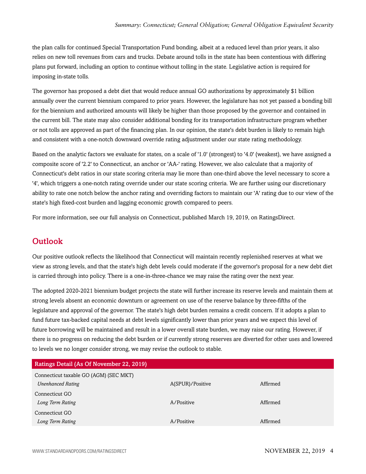the plan calls for continued Special Transportation Fund bonding, albeit at a reduced level than prior years, it also relies on new toll revenues from cars and trucks. Debate around tolls in the state has been contentious with differing plans put forward, including an option to continue without tolling in the state. Legislative action is required for imposing in-state tolls.

The governor has proposed a debt diet that would reduce annual GO authorizations by approximately \$1 billion annually over the current biennium compared to prior years. However, the legislature has not yet passed a bonding bill for the biennium and authorized amounts will likely be higher than those proposed by the governor and contained in the current bill. The state may also consider additional bonding for its transportation infrastructure program whether or not tolls are approved as part of the financing plan. In our opinion, the state's debt burden is likely to remain high and consistent with a one-notch downward override rating adjustment under our state rating methodology.

Based on the analytic factors we evaluate for states, on a scale of '1.0' (strongest) to '4.0' (weakest), we have assigned a composite score of '2.2' to Connecticut, an anchor or 'AA-' rating. However, we also calculate that a majority of Connecticut's debt ratios in our state scoring criteria may lie more than one-third above the level necessary to score a '4', which triggers a one-notch rating override under our state scoring criteria. We are further using our discretionary ability to rate one notch below the anchor rating and overriding factors to maintain our 'A' rating due to our view of the state's high fixed-cost burden and lagging economic growth compared to peers.

<span id="page-3-0"></span>For more information, see our full analysis on Connecticut, published March 19, 2019, on RatingsDirect.

### **Outlook**

Our positive outlook reflects the likelihood that Connecticut will maintain recently replenished reserves at what we view as strong levels, and that the state's high debt levels could moderate if the governor's proposal for a new debt diet is carried through into policy. There is a one-in-three-chance we may raise the rating over the next year.

The adopted 2020-2021 biennium budget projects the state will further increase its reserve levels and maintain them at strong levels absent an economic downturn or agreement on use of the reserve balance by three-fifths of the legislature and approval of the governor. The state's high debt burden remains a credit concern. If it adopts a plan to fund future tax-backed capital needs at debt levels significantly lower than prior years and we expect this level of future borrowing will be maintained and result in a lower overall state burden, we may raise our rating. However, if there is no progress on reducing the debt burden or if currently strong reserves are diverted for other uses and lowered to levels we no longer consider strong, we may revise the outlook to stable.

| Ratings Detail (As Of November 22, 2019) |                  |          |
|------------------------------------------|------------------|----------|
| Connecticut taxable GO (AGM) (SEC MKT)   |                  |          |
| <b>Unenhanced Rating</b>                 | A(SPUR)/Positive | Affirmed |
| Connecticut GO                           |                  |          |
| Long Term Rating                         | A/Positive       | Affirmed |
| Connecticut GO                           |                  |          |
| Long Term Rating                         | A/Positive       | Affirmed |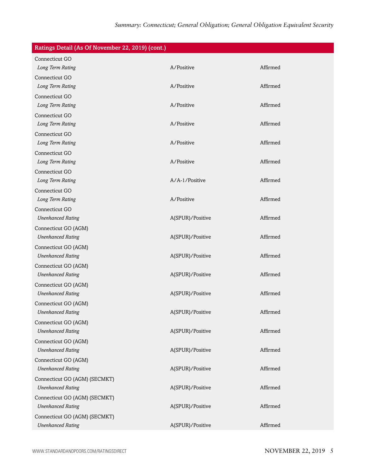| Ratings Detail (As Of November 22, 2019) (cont.) |                  |          |
|--------------------------------------------------|------------------|----------|
| Connecticut GO                                   |                  |          |
| Long Term Rating                                 | A/Positive       | Affirmed |
| Connecticut GO                                   |                  |          |
| Long Term Rating                                 | A/Positive       | Affirmed |
| Connecticut GO                                   |                  |          |
| Long Term Rating                                 | A/Positive       | Affirmed |
| Connecticut GO                                   |                  |          |
| Long Term Rating                                 | A/Positive       | Affirmed |
| Connecticut GO                                   |                  |          |
| Long Term Rating                                 | A/Positive       | Affirmed |
| Connecticut GO                                   |                  |          |
| Long Term Rating                                 | A/Positive       | Affirmed |
| Connecticut GO                                   |                  |          |
| Long Term Rating                                 | A/A-1/Positive   | Affirmed |
| Connecticut GO                                   |                  |          |
| Long Term Rating                                 | A/Positive       | Affirmed |
| Connecticut GO                                   |                  |          |
| <b>Unenhanced Rating</b>                         | A(SPUR)/Positive | Affirmed |
| Connecticut GO (AGM)                             |                  |          |
| <b>Unenhanced Rating</b>                         | A(SPUR)/Positive | Affirmed |
| Connecticut GO (AGM)                             |                  |          |
| <b>Unenhanced Rating</b>                         | A(SPUR)/Positive | Affirmed |
| Connecticut GO (AGM)                             |                  |          |
| <b>Unenhanced Rating</b>                         | A(SPUR)/Positive | Affirmed |
| Connecticut GO (AGM)                             |                  |          |
| <b>Unenhanced Rating</b>                         | A(SPUR)/Positive | Affirmed |
| Connecticut GO (AGM)                             |                  |          |
| <b>Unenhanced Rating</b>                         | A(SPUR)/Positive | Affirmed |
| Connecticut GO (AGM)                             |                  |          |
| <b>Unenhanced Rating</b>                         | A(SPUR)/Positive | Affirmed |
| Connecticut GO (AGM)                             |                  |          |
| <b>Unenhanced Rating</b>                         | A(SPUR)/Positive | Affirmed |
| Connecticut GO (AGM)                             |                  |          |
| <b>Unenhanced Rating</b>                         | A(SPUR)/Positive | Affirmed |
| Connecticut GO (AGM) (SECMKT)                    |                  |          |
| <b>Unenhanced Rating</b>                         | A(SPUR)/Positive | Affirmed |
| Connecticut GO (AGM) (SECMKT)                    |                  |          |
| <b>Unenhanced Rating</b>                         | A(SPUR)/Positive | Affirmed |
| Connecticut GO (AGM) (SECMKT)                    |                  |          |
| <b>Unenhanced Rating</b>                         | A(SPUR)/Positive | Affirmed |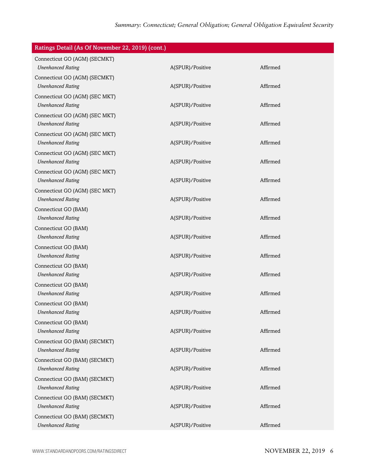| Ratings Detail (As Of November 22, 2019) (cont.) |                  |          |
|--------------------------------------------------|------------------|----------|
| Connecticut GO (AGM) (SECMKT)                    |                  |          |
| <b>Unenhanced Rating</b>                         | A(SPUR)/Positive | Affirmed |
| Connecticut GO (AGM) (SECMKT)                    |                  |          |
| <b>Unenhanced Rating</b>                         | A(SPUR)/Positive | Affirmed |
| Connecticut GO (AGM) (SEC MKT)                   |                  |          |
| <b>Unenhanced Rating</b>                         | A(SPUR)/Positive | Affirmed |
| Connecticut GO (AGM) (SEC MKT)                   |                  |          |
| <b>Unenhanced Rating</b>                         | A(SPUR)/Positive | Affirmed |
| Connecticut GO (AGM) (SEC MKT)                   |                  |          |
| <b>Unenhanced Rating</b>                         | A(SPUR)/Positive | Affirmed |
| Connecticut GO (AGM) (SEC MKT)                   |                  |          |
| <b>Unenhanced Rating</b>                         | A(SPUR)/Positive | Affirmed |
| Connecticut GO (AGM) (SEC MKT)                   |                  |          |
| <b>Unenhanced Rating</b>                         | A(SPUR)/Positive | Affirmed |
| Connecticut GO (AGM) (SEC MKT)                   |                  |          |
| <b>Unenhanced Rating</b>                         | A(SPUR)/Positive | Affirmed |
| Connecticut GO (BAM)                             |                  |          |
| <b>Unenhanced Rating</b>                         | A(SPUR)/Positive | Affirmed |
| Connecticut GO (BAM)                             |                  |          |
| <b>Unenhanced Rating</b>                         | A(SPUR)/Positive | Affirmed |
| Connecticut GO (BAM)                             |                  |          |
| <b>Unenhanced Rating</b>                         | A(SPUR)/Positive | Affirmed |
| Connecticut GO (BAM)                             |                  |          |
| <b>Unenhanced Rating</b>                         | A(SPUR)/Positive | Affirmed |
| Connecticut GO (BAM)                             |                  |          |
| <b>Unenhanced Rating</b>                         | A(SPUR)/Positive | Affirmed |
| Connecticut GO (BAM)                             |                  |          |
| <b>Unenhanced Rating</b>                         | A(SPUR)/Positive | Affirmed |
| Connecticut GO (BAM)                             |                  |          |
| <b>Unenhanced Rating</b>                         | A(SPUR)/Positive | Affirmed |
| Connecticut GO (BAM) (SECMKT)                    |                  |          |
| <b>Unenhanced Rating</b>                         | A(SPUR)/Positive | Affirmed |
| Connecticut GO (BAM) (SECMKT)                    |                  |          |
| <b>Unenhanced Rating</b>                         | A(SPUR)/Positive | Affirmed |
| Connecticut GO (BAM) (SECMKT)                    |                  |          |
| <b>Unenhanced Rating</b>                         | A(SPUR)/Positive | Affirmed |
| Connecticut GO (BAM) (SECMKT)                    |                  |          |
| <b>Unenhanced Rating</b>                         | A(SPUR)/Positive | Affirmed |
| Connecticut GO (BAM) (SECMKT)                    |                  |          |
| <b>Unenhanced Rating</b>                         | A(SPUR)/Positive | Affirmed |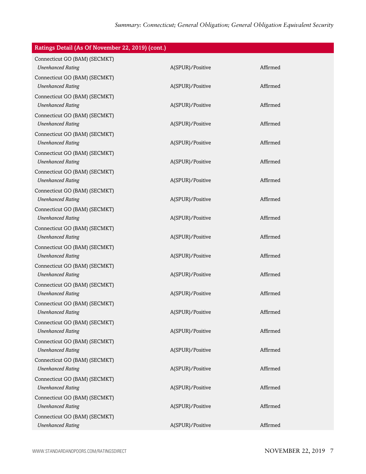| Ratings Detail (As Of November 22, 2019) (cont.)          |                  |          |
|-----------------------------------------------------------|------------------|----------|
| Connecticut GO (BAM) (SECMKT)                             |                  |          |
| <b>Unenhanced Rating</b>                                  | A(SPUR)/Positive | Affirmed |
| Connecticut GO (BAM) (SECMKT)                             |                  |          |
| <b>Unenhanced Rating</b>                                  | A(SPUR)/Positive | Affirmed |
| Connecticut GO (BAM) (SECMKT)                             |                  |          |
| <b>Unenhanced Rating</b>                                  | A(SPUR)/Positive | Affirmed |
| Connecticut GO (BAM) (SECMKT)                             |                  |          |
| <b>Unenhanced Rating</b>                                  | A(SPUR)/Positive | Affirmed |
| Connecticut GO (BAM) (SECMKT)                             |                  | Affirmed |
| <b>Unenhanced Rating</b>                                  | A(SPUR)/Positive |          |
| Connecticut GO (BAM) (SECMKT)<br><b>Unenhanced Rating</b> | A(SPUR)/Positive | Affirmed |
| Connecticut GO (BAM) (SECMKT)                             |                  |          |
| <b>Unenhanced Rating</b>                                  | A(SPUR)/Positive | Affirmed |
| Connecticut GO (BAM) (SECMKT)                             |                  |          |
| <b>Unenhanced Rating</b>                                  | A(SPUR)/Positive | Affirmed |
| Connecticut GO (BAM) (SECMKT)                             |                  |          |
| <b>Unenhanced Rating</b>                                  | A(SPUR)/Positive | Affirmed |
| Connecticut GO (BAM) (SECMKT)                             |                  |          |
| <b>Unenhanced Rating</b>                                  | A(SPUR)/Positive | Affirmed |
| Connecticut GO (BAM) (SECMKT)                             |                  |          |
| <b>Unenhanced Rating</b>                                  | A(SPUR)/Positive | Affirmed |
| Connecticut GO (BAM) (SECMKT)                             |                  |          |
| <b>Unenhanced Rating</b>                                  | A(SPUR)/Positive | Affirmed |
| Connecticut GO (BAM) (SECMKT)                             |                  |          |
| <b>Unenhanced Rating</b>                                  | A(SPUR)/Positive | Affirmed |
| Connecticut GO (BAM) (SECMKT)                             |                  |          |
| <b>Unenhanced Rating</b>                                  | A(SPUR)/Positive | Affirmed |
| Connecticut GO (BAM) (SECMKT)                             |                  |          |
| <b>Unenhanced Rating</b>                                  | A(SPUR)/Positive | Affirmed |
| Connecticut GO (BAM) (SECMKT)                             | A(SPUR)/Positive | Affirmed |
| <b>Unenhanced Rating</b>                                  |                  |          |
| Connecticut GO (BAM) (SECMKT)<br><b>Unenhanced Rating</b> | A(SPUR)/Positive | Affirmed |
| Connecticut GO (BAM) (SECMKT)                             |                  |          |
| <b>Unenhanced Rating</b>                                  | A(SPUR)/Positive | Affirmed |
| Connecticut GO (BAM) (SECMKT)                             |                  |          |
| <b>Unenhanced Rating</b>                                  | A(SPUR)/Positive | Affirmed |
| Connecticut GO (BAM) (SECMKT)                             |                  |          |
| <b>Unenhanced Rating</b>                                  | A(SPUR)/Positive | Affirmed |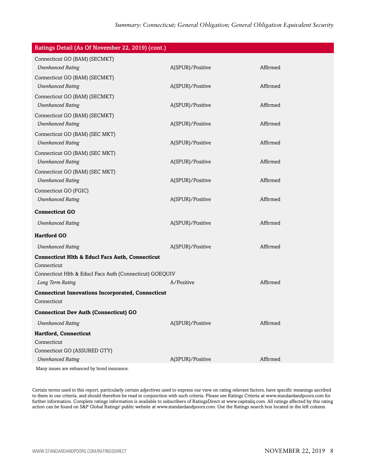| Ratings Detail (As Of November 22, 2019) (cont.)           |                  |          |
|------------------------------------------------------------|------------------|----------|
| Connecticut GO (BAM) (SECMKT)                              |                  |          |
| <b>Unenhanced Rating</b>                                   | A(SPUR)/Positive | Affirmed |
| Connecticut GO (BAM) (SECMKT)                              |                  |          |
| <b>Unenhanced Rating</b>                                   | A(SPUR)/Positive | Affirmed |
| Connecticut GO (BAM) (SECMKT)                              |                  |          |
| <b>Unenhanced Rating</b>                                   | A(SPUR)/Positive | Affirmed |
| Connecticut GO (BAM) (SECMKT)                              |                  |          |
| <b>Unenhanced Rating</b>                                   | A(SPUR)/Positive | Affirmed |
| Connecticut GO (BAM) (SEC MKT)                             |                  |          |
| <b>Unenhanced Rating</b>                                   | A(SPUR)/Positive | Affirmed |
| Connecticut GO (BAM) (SEC MKT)                             |                  |          |
| <b>Unenhanced Rating</b>                                   | A(SPUR)/Positive | Affirmed |
| Connecticut GO (BAM) (SEC MKT)                             |                  |          |
| <b>Unenhanced Rating</b>                                   | A(SPUR)/Positive | Affirmed |
| Connecticut GO (FGIC)                                      |                  |          |
| <b>Unenhanced Rating</b>                                   | A(SPUR)/Positive | Affirmed |
| <b>Connecticut GO</b>                                      |                  |          |
| <b>Unenhanced Rating</b>                                   | A(SPUR)/Positive | Affirmed |
| <b>Hartford GO</b>                                         |                  |          |
| <b>Unenhanced Rating</b>                                   | A(SPUR)/Positive | Affirmed |
| <b>Connecticut Hlth &amp; Educl Facs Auth, Connecticut</b> |                  |          |
| Connecticut                                                |                  |          |
| Connecticut Hlth & Educl Facs Auth (Connecticut) GOEQUIV   |                  |          |
| Long Term Rating                                           | A/Positive       | Affirmed |
| <b>Connecticut Innovations Incorporated, Connecticut</b>   |                  |          |
| Connecticut                                                |                  |          |
| <b>Connecticut Dev Auth (Connecticut) GO</b>               |                  |          |
| <b>Unenhanced Rating</b>                                   | A(SPUR)/Positive | Affirmed |
| Hartford, Connecticut                                      |                  |          |
| Connecticut                                                |                  |          |
| Connecticut GO (ASSURED GTY)                               |                  |          |
| <b>Unenhanced Rating</b>                                   | A(SPUR)/Positive | Affirmed |
| Many issues are enhanced by bond insurance.                |                  |          |

Certain terms used in this report, particularly certain adjectives used to express our view on rating relevant factors, have specific meanings ascribed to them in our criteria, and should therefore be read in conjunction with such criteria. Please see Ratings Criteria at www.standardandpoors.com for further information. Complete ratings information is available to subscribers of RatingsDirect at www.capitaliq.com. All ratings affected by this rating action can be found on S&P Global Ratings' public website at www.standardandpoors.com. Use the Ratings search box located in the left column.